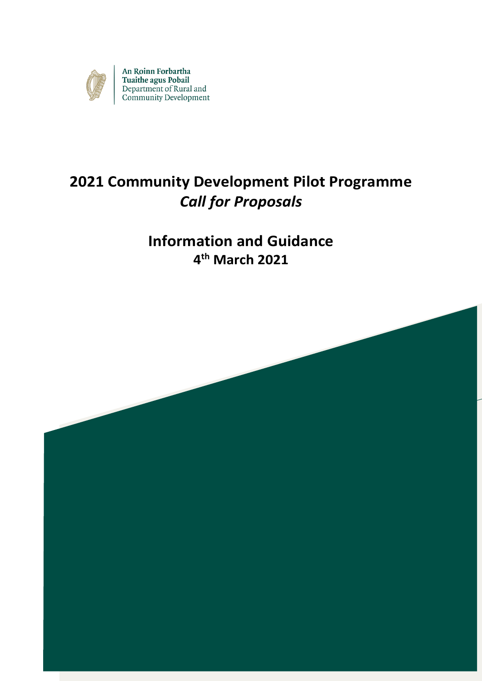

An Roinn Forbartha Tuaithe agus Pobail<br>Department of Rural and<br>Community Development

# **2021 Community Development Pilot Programme** *Call for Proposals*

## **Information and Guidance 4 th March 2021**

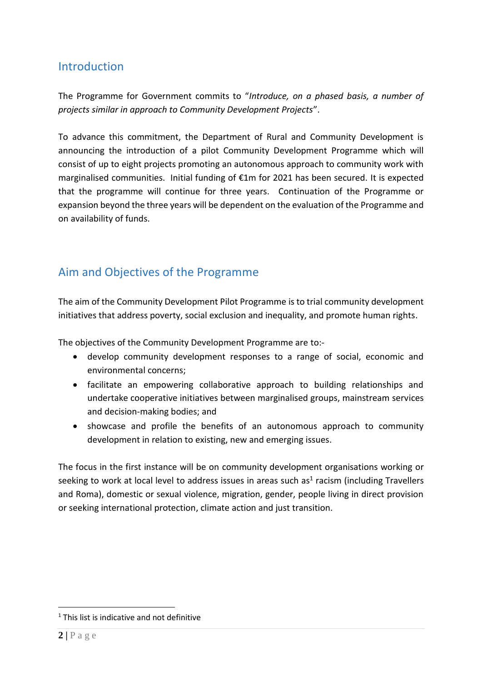### **Introduction**

The Programme for Government commits to "*Introduce, on a phased basis, a number of projects similar in approach to Community Development Projects*".

To advance this commitment, the Department of Rural and Community Development is announcing the introduction of a pilot Community Development Programme which will consist of up to eight projects promoting an autonomous approach to community work with marginalised communities. Initial funding of €1m for 2021 has been secured. It is expected that the programme will continue for three years. Continuation of the Programme or expansion beyond the three years will be dependent on the evaluation of the Programme and on availability of funds.

## Aim and Objectives of the Programme

The aim of the Community Development Pilot Programme is to trial community development initiatives that address poverty, social exclusion and inequality, and promote human rights.

The objectives of the Community Development Programme are to:-

- develop community development responses to a range of social, economic and environmental concerns;
- facilitate an empowering collaborative approach to building relationships and undertake cooperative initiatives between marginalised groups, mainstream services and decision-making bodies; and
- showcase and profile the benefits of an autonomous approach to community development in relation to existing, new and emerging issues.

The focus in the first instance will be on community development organisations working or seeking to work at local level to address issues in areas such as<sup>1</sup> racism (including Travellers and Roma), domestic or sexual violence, migration, gender, people living in direct provision or seeking international protection, climate action and just transition.

 $\overline{a}$ 

<sup>&</sup>lt;sup>1</sup> This list is indicative and not definitive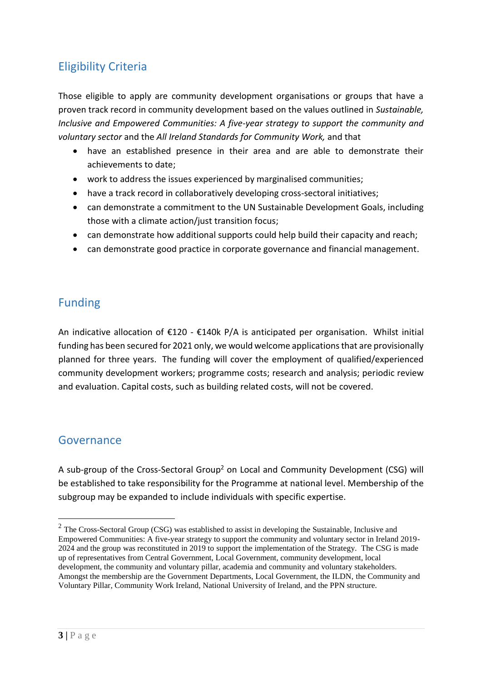## Eligibility Criteria

Those eligible to apply are community development organisations or groups that have a proven track record in community development based on the values outlined in *Sustainable, Inclusive and Empowered Communities: A five-year strategy to support the community and voluntary sector* and the *All Ireland Standards for Community Work,* and that

- have an established presence in their area and are able to demonstrate their achievements to date;
- work to address the issues experienced by marginalised communities;
- have a track record in collaboratively developing cross-sectoral initiatives;
- can demonstrate a commitment to the UN Sustainable Development Goals, including those with a climate action/just transition focus;
- can demonstrate how additional supports could help build their capacity and reach;
- can demonstrate good practice in corporate governance and financial management.

## Funding

An indicative allocation of  $E120 - E140k$  P/A is anticipated per organisation. Whilst initial funding has been secured for 2021 only, we would welcome applications that are provisionally planned for three years. The funding will cover the employment of qualified/experienced community development workers; programme costs; research and analysis; periodic review and evaluation. Capital costs, such as building related costs, will not be covered.

### Governance

A sub-group of the Cross-Sectoral Group<sup>2</sup> on Local and Community Development (CSG) will be established to take responsibility for the Programme at national level. Membership of the subgroup may be expanded to include individuals with specific expertise.

<sup>&</sup>lt;sup>2</sup> The Cross-Sectoral Group (CSG) was established to assist in developing the Sustainable, Inclusive and Empowered Communities: A five-year strategy to support the community and voluntary sector in Ireland 2019- 2024 and the group was reconstituted in 2019 to support the implementation of the Strategy. The CSG is made up of representatives from Central Government, Local Government, community development, local development, the community and voluntary pillar, academia and community and voluntary stakeholders. Amongst the membership are the Government Departments, Local Government, the ILDN, the Community and Voluntary Pillar, Community Work Ireland, National University of Ireland, and the PPN structure.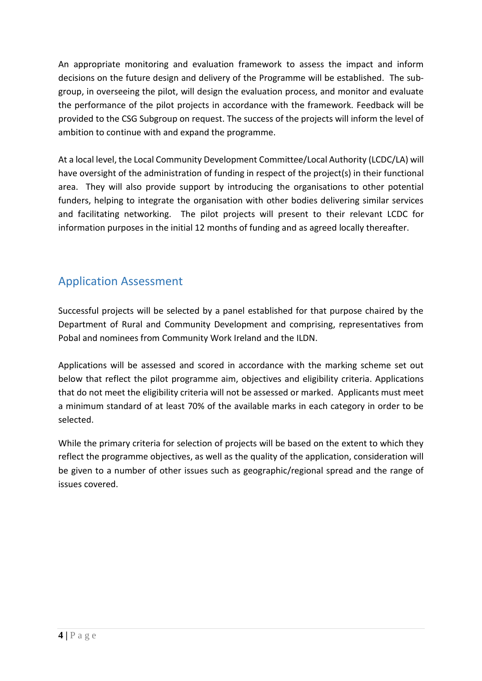An appropriate monitoring and evaluation framework to assess the impact and inform decisions on the future design and delivery of the Programme will be established. The subgroup, in overseeing the pilot, will design the evaluation process, and monitor and evaluate the performance of the pilot projects in accordance with the framework. Feedback will be provided to the CSG Subgroup on request. The success of the projects will inform the level of ambition to continue with and expand the programme.

At a local level, the Local Community Development Committee/Local Authority (LCDC/LA) will have oversight of the administration of funding in respect of the project(s) in their functional area. They will also provide support by introducing the organisations to other potential funders, helping to integrate the organisation with other bodies delivering similar services and facilitating networking. The pilot projects will present to their relevant LCDC for information purposes in the initial 12 months of funding and as agreed locally thereafter.

## Application Assessment

Successful projects will be selected by a panel established for that purpose chaired by the Department of Rural and Community Development and comprising, representatives from Pobal and nominees from Community Work Ireland and the ILDN.

Applications will be assessed and scored in accordance with the marking scheme set out below that reflect the pilot programme aim, objectives and eligibility criteria. Applications that do not meet the eligibility criteria will not be assessed or marked. Applicants must meet a minimum standard of at least 70% of the available marks in each category in order to be selected.

While the primary criteria for selection of projects will be based on the extent to which they reflect the programme objectives, as well as the quality of the application, consideration will be given to a number of other issues such as geographic/regional spread and the range of issues covered.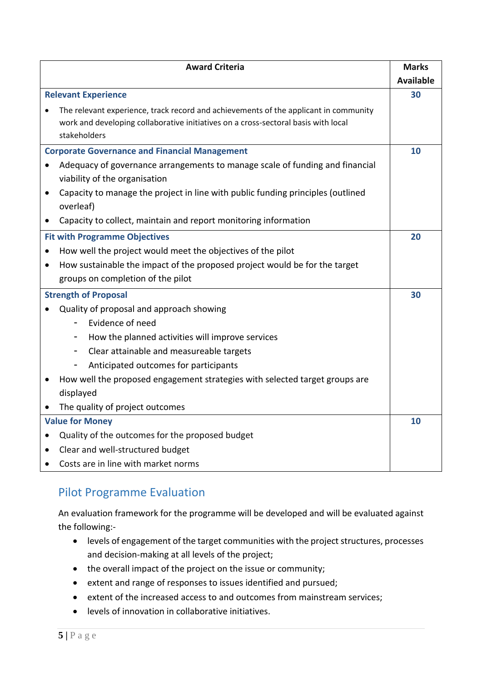| <b>Award Criteria</b>                                                                                         |                                                                                                    | <b>Marks</b>     |  |
|---------------------------------------------------------------------------------------------------------------|----------------------------------------------------------------------------------------------------|------------------|--|
|                                                                                                               |                                                                                                    | <b>Available</b> |  |
| <b>Relevant Experience</b>                                                                                    |                                                                                                    | 30               |  |
|                                                                                                               | The relevant experience, track record and achievements of the applicant in community               |                  |  |
|                                                                                                               | work and developing collaborative initiatives on a cross-sectoral basis with local<br>stakeholders |                  |  |
| <b>Corporate Governance and Financial Management</b>                                                          |                                                                                                    |                  |  |
| Adequacy of governance arrangements to manage scale of funding and financial<br>viability of the organisation |                                                                                                    |                  |  |
|                                                                                                               | Capacity to manage the project in line with public funding principles (outlined<br>overleaf)       |                  |  |
|                                                                                                               | Capacity to collect, maintain and report monitoring information                                    |                  |  |
| <b>Fit with Programme Objectives</b>                                                                          |                                                                                                    | 20               |  |
| How well the project would meet the objectives of the pilot<br>$\bullet$                                      |                                                                                                    |                  |  |
| $\bullet$                                                                                                     | How sustainable the impact of the proposed project would be for the target                         |                  |  |
|                                                                                                               | groups on completion of the pilot                                                                  |                  |  |
| <b>Strength of Proposal</b><br>30                                                                             |                                                                                                    |                  |  |
|                                                                                                               | Quality of proposal and approach showing                                                           |                  |  |
|                                                                                                               | Evidence of need                                                                                   |                  |  |
|                                                                                                               | How the planned activities will improve services                                                   |                  |  |
|                                                                                                               | Clear attainable and measureable targets<br>-                                                      |                  |  |
|                                                                                                               | Anticipated outcomes for participants                                                              |                  |  |
|                                                                                                               | How well the proposed engagement strategies with selected target groups are                        |                  |  |
|                                                                                                               | displayed                                                                                          |                  |  |
|                                                                                                               | The quality of project outcomes                                                                    |                  |  |
| <b>Value for Money</b><br>10                                                                                  |                                                                                                    |                  |  |
|                                                                                                               | Quality of the outcomes for the proposed budget                                                    |                  |  |
|                                                                                                               | Clear and well-structured budget                                                                   |                  |  |
|                                                                                                               | Costs are in line with market norms                                                                |                  |  |

## Pilot Programme Evaluation

An evaluation framework for the programme will be developed and will be evaluated against the following:-

- levels of engagement of the target communities with the project structures, processes and decision-making at all levels of the project;
- the overall impact of the project on the issue or community;
- extent and range of responses to issues identified and pursued;
- extent of the increased access to and outcomes from mainstream services;
- levels of innovation in collaborative initiatives.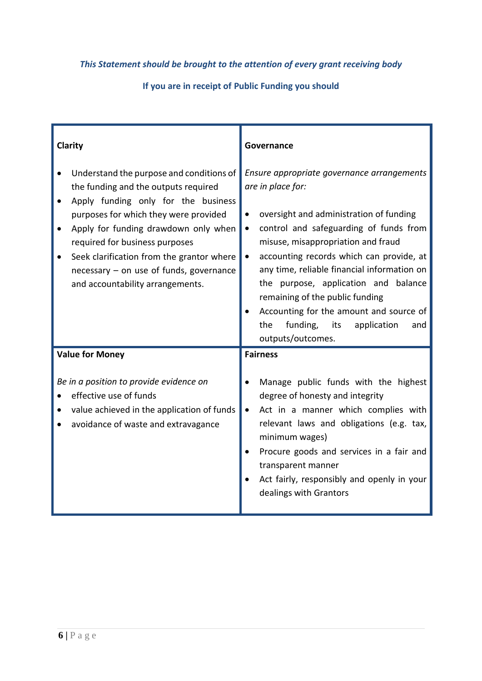#### *This Statement should be brought to the attention of every grant receiving body*

**If you are in receipt of Public Funding you should**

| Clarity                                                                                                                                                                                                                                                                                                                                                                     | Governance                                                                                                                                                                                                                                                                                                                                                                                                                                                                                                              |  |
|-----------------------------------------------------------------------------------------------------------------------------------------------------------------------------------------------------------------------------------------------------------------------------------------------------------------------------------------------------------------------------|-------------------------------------------------------------------------------------------------------------------------------------------------------------------------------------------------------------------------------------------------------------------------------------------------------------------------------------------------------------------------------------------------------------------------------------------------------------------------------------------------------------------------|--|
| Understand the purpose and conditions of<br>the funding and the outputs required<br>Apply funding only for the business<br>purposes for which they were provided<br>Apply for funding drawdown only when<br>required for business purposes<br>Seek clarification from the grantor where<br>٠<br>necessary - on use of funds, governance<br>and accountability arrangements. | Ensure appropriate governance arrangements<br>are in place for:<br>oversight and administration of funding<br>$\bullet$<br>control and safeguarding of funds from<br>$\bullet$<br>misuse, misappropriation and fraud<br>accounting records which can provide, at<br>$\bullet$<br>any time, reliable financial information on<br>the purpose, application and balance<br>remaining of the public funding<br>Accounting for the amount and source of<br>the<br>funding,<br>its<br>application<br>and<br>outputs/outcomes. |  |
| <b>Value for Money</b><br>Be in a position to provide evidence on<br>effective use of funds<br>value achieved in the application of funds<br>avoidance of waste and extravagance                                                                                                                                                                                            | <b>Fairness</b><br>Manage public funds with the highest<br>degree of honesty and integrity<br>Act in a manner which complies with<br>$\bullet$<br>relevant laws and obligations (e.g. tax,<br>minimum wages)<br>Procure goods and services in a fair and<br>transparent manner<br>Act fairly, responsibly and openly in your<br>dealings with Grantors                                                                                                                                                                  |  |